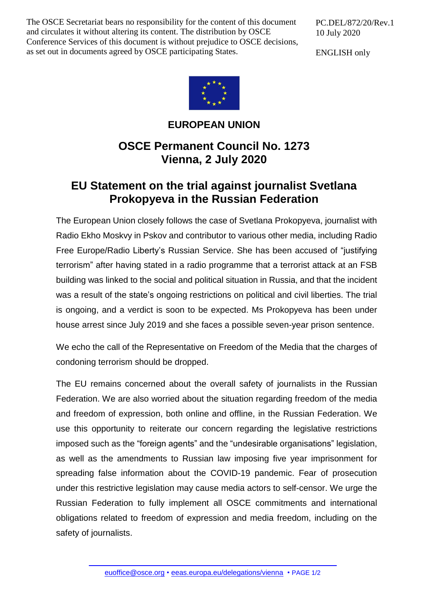The OSCE Secretariat bears no responsibility for the content of this document and circulates it without altering its content. The distribution by OSCE Conference Services of this document is without prejudice to OSCE decisions, as set out in documents agreed by OSCE participating States.

PC.DEL/872/20/Rev.1 10 July 2020

ENGLISH only



**EUROPEAN UNION**

## **OSCE Permanent Council No. 1273 Vienna, 2 July 2020**

## **EU Statement on the trial against journalist Svetlana Prokopyeva in the Russian Federation**

The European Union closely follows the case of Svetlana Prokopyeva, journalist with Radio Ekho Moskvy in Pskov and contributor to various other media, including Radio Free Europe/Radio Liberty's Russian Service. She has been accused of "justifying terrorism" after having stated in a radio programme that a terrorist attack at an FSB building was linked to the social and political situation in Russia, and that the incident was a result of the state's ongoing restrictions on political and civil liberties. The trial is ongoing, and a verdict is soon to be expected. Ms Prokopyeva has been under house arrest since July 2019 and she faces a possible seven-year prison sentence.

We echo the call of the Representative on Freedom of the Media that the charges of condoning terrorism should be dropped.

The EU remains concerned about the overall safety of journalists in the Russian Federation. We are also worried about the situation regarding freedom of the media and freedom of expression, both online and offline, in the Russian Federation. We use this opportunity to reiterate our concern regarding the legislative restrictions imposed such as the "foreign agents" and the "undesirable organisations" legislation, as well as the amendments to Russian law imposing five year imprisonment for spreading false information about the COVID-19 pandemic. Fear of prosecution under this restrictive legislation may cause media actors to self-censor. We urge the Russian Federation to fully implement all OSCE commitments and international obligations related to freedom of expression and media freedom, including on the safety of journalists.